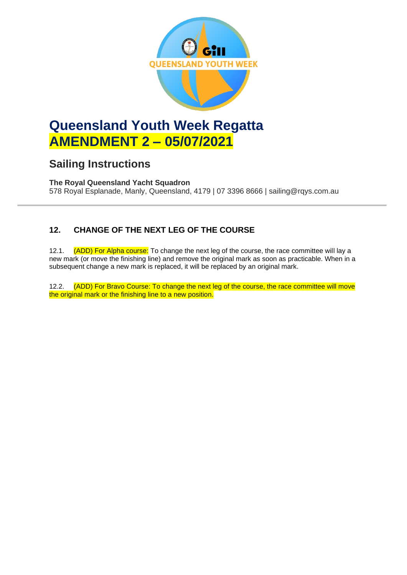

# **Queensland Youth Week Regatta AMENDMENT 2 – 05/07/2021**

## **Sailing Instructions**

**The Royal Queensland Yacht Squadron** 578 Royal Esplanade, Manly, Queensland, 4179 | 07 3396 8666 | sailing@rqys.com.au

### **12. CHANGE OF THE NEXT LEG OF THE COURSE**

12.1. (ADD) For Alpha course: To change the next leg of the course, the race committee will lay a new mark (or move the finishing line) and remove the original mark as soon as practicable. When in a subsequent change a new mark is replaced, it will be replaced by an original mark.

12.2. (ADD) For Bravo Course: To change the next leg of the course, the race committee will move the original mark or the finishing line to a new position.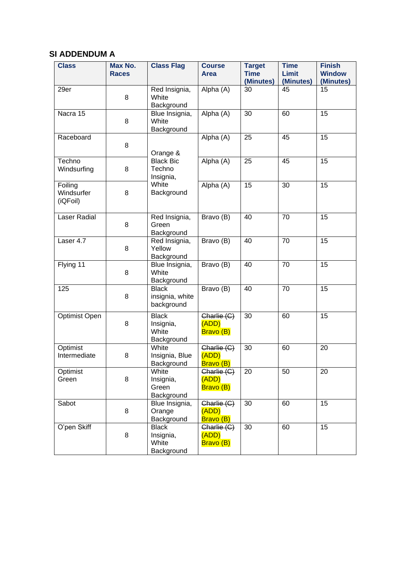#### **SI ADDENDUM A**

| <b>Class</b>                      | Max No.<br><b>Races</b> | <b>Class Flag</b>                                | <b>Course</b><br>Area                                   | <b>Target</b><br><b>Time</b><br>(Minutes) | <b>Time</b><br><b>Limit</b><br>(Minutes) | <b>Finish</b><br><b>Window</b><br>(Minutes) |
|-----------------------------------|-------------------------|--------------------------------------------------|---------------------------------------------------------|-------------------------------------------|------------------------------------------|---------------------------------------------|
| 29er                              | 8                       | Red Insignia,<br>White<br>Background             | Alpha (A)                                               | 30                                        | 45                                       | 15                                          |
| Nacra 15                          | 8                       | Blue Insignia,<br>White<br>Background            | Alpha (A)                                               | 30                                        | 60                                       | 15                                          |
| Raceboard                         | 8                       | Orange &                                         | Alpha (A)                                               | 25                                        | 45                                       | 15                                          |
| Techno<br>Windsurfing             | 8                       | <b>Black Bic</b><br>Techno<br>Insignia,          | Alpha (A)                                               | 25                                        | 45                                       | 15                                          |
| Foiling<br>Windsurfer<br>(iQFoil) | 8                       | White<br>Background                              | Alpha (A)                                               | 15                                        | 30                                       | 15                                          |
| <b>Laser Radial</b>               | 8                       | Red Insignia,<br>Green<br>Background             | Bravo (B)                                               | 40                                        | 70                                       | 15                                          |
| Laser 4.7                         | 8                       | Red Insignia,<br>Yellow<br>Background            | Bravo (B)                                               | 40                                        | 70                                       | 15                                          |
| Flying 11                         | 8                       | Blue Insignia,<br>White<br>Background            | Bravo (B)                                               | 40                                        | 70                                       | 15                                          |
| 125                               | 8                       | <b>Black</b><br>insignia, white<br>background    | Bravo (B)                                               | 40                                        | 70                                       | 15                                          |
| Optimist Open                     | 8                       | <b>Black</b><br>Insignia,<br>White<br>Background | $\overline{\mathsf{Charlie}}$ (C)<br>(ADD)<br>Bravo (B) | 30                                        | 60                                       | 15                                          |
| Optimist<br>Intermediate          | 8                       | White<br>Insignia, Blue<br>Background            | Charlie (C)<br>(ADD)<br>Bravo (B)                       | 30                                        | 60                                       | 20                                          |
| Optimist<br>Green                 | 8                       | White<br>Insignia,<br>Green<br>Background        | Charlie (C)<br>(ADD)<br>Bravo (B)                       | 20                                        | 50                                       | 20                                          |
| Sabot                             | 8                       | Blue Insignia,<br>Orange<br>Background           | Charlie (C)<br>(ADD)<br>Bravo (B)                       | 30                                        | 60                                       | 15                                          |
| O'pen Skiff                       | 8                       | <b>Black</b><br>Insignia,<br>White<br>Background | Charlie (C)<br>(ADD)<br>Bravo (B)                       | 30                                        | 60                                       | 15                                          |